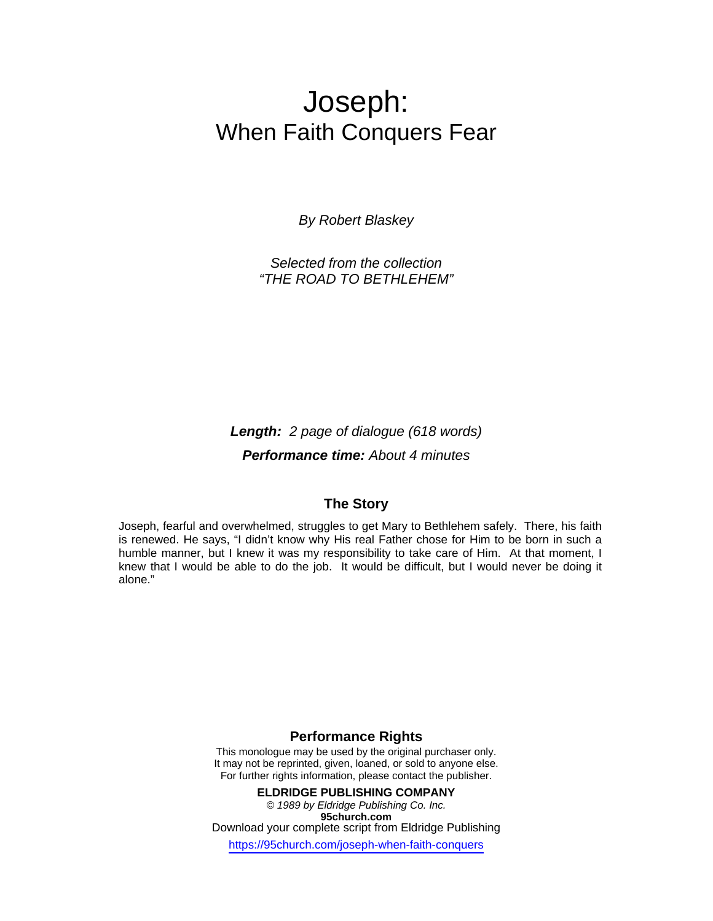## Joseph: When Faith Conquers Fear

*By Robert Blaskey* 

*Selected from the collection "THE ROAD TO BETHLEHEM"* 

*Length: 2 page of dialogue (618 words) Performance time: About 4 minutes* 

## **The Story**

Joseph, fearful and overwhelmed, struggles to get Mary to Bethlehem safely. There, his faith is renewed. He says, "I didn't know why His real Father chose for Him to be born in such a humble manner, but I knew it was my responsibility to take care of Him. At that moment, I knew that I would be able to do the job. It would be difficult, but I would never be doing it alone."

## **Performance Rights**

This monologue may be used by the original purchaser only. It may not be reprinted, given, loaned, or sold to anyone else. For further rights information, please contact the publisher.

**ELDRIDGE PUBLISHING COMPANY**  *© 1989 by Eldridge Publishing Co. Inc.*  **95church.com** Download your complete script from Eldridge Publishing

https://95church.com/joseph-when-faith-conquers